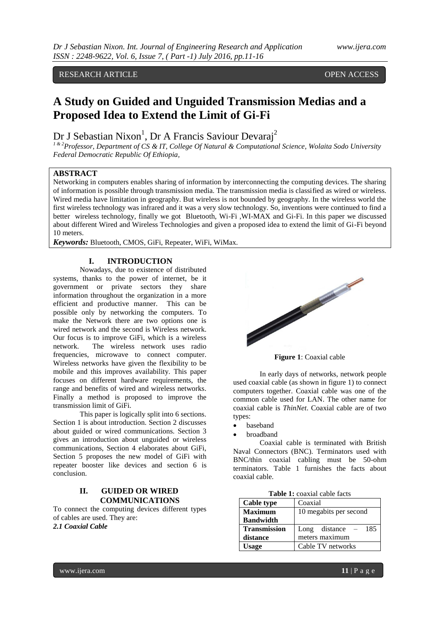# RESEARCH ARTICLE **CONSERVERS** OPEN ACCESS

# **A Study on Guided and Unguided Transmission Medias and a Proposed Idea to Extend the Limit of Gi-Fi**

# Dr J Sebastian Nixon<sup>1</sup>, Dr A Francis Saviour Devaraj<sup>2</sup>

*1 & 2Professor, Department of CS & IT, College Of Natural & Computational Science, Wolaita Sodo University Federal Democratic Republic Of Ethiopia,*

# **ABSTRACT**

Networking in computers enables sharing of information by interconnecting the computing devices. The sharing of information is possible through transmission media. The transmission media is classified as wired or wireless. Wired media have limitation in geography. But wireless is not bounded by geography. In the wireless world the first wireless technology was infrared and it was a very slow technology. So, inventions were continued to find a better wireless technology, finally we got Bluetooth, Wi-Fi ,WI-MAX and Gi-Fi. In this paper we discussed about different Wired and Wireless Technologies and given a proposed idea to extend the limit of Gi-Fi beyond 10 meters.

*Keywords:* Bluetooth, CMOS, GiFi, Repeater, WiFi, WiMax.

#### **I. INTRODUCTION**

Nowadays, due to existence of distributed systems, thanks to the power of internet, be it government or private sectors they share information throughout the organization in a more efficient and productive manner. This can be possible only by networking the computers. To make the Network there are two options one is wired network and the second is Wireless network. Our focus is to improve GiFi, which is a wireless network. The wireless network uses radio frequencies, microwave to connect computer. Wireless networks have given the flexibility to be mobile and this improves availability. This paper focuses on different hardware requirements, the range and benefits of wired and wireless networks. Finally a method is proposed to improve the transmission limit of GiFi.

This paper is logically split into 6 sections. Section 1 is about introduction. Section 2 discusses about guided or wired communications. Section 3 gives an introduction about unguided or wireless communications, Section 4 elaborates about GiFi, Section 5 proposes the new model of GiFi with repeater booster like devices and section 6 is conclusion.

# **II. GUIDED OR WIRED COMMUNICATIONS**

To connect the computing devices different types of cables are used. They are: *2.1 Coaxial Cable*



**Figure 1**: Coaxial cable

In early days of networks, network people used coaxial cable (as shown in figure 1) to connect computers together. Coaxial cable was one of the common cable used for LAN. The other name for coaxial cable is *ThinNet*. Coaxial cable are of two types:

- baseband
- broadband

Coaxial cable is terminated with British Naval Connectors (BNC). Terminators used with BNC/thin coaxial cabling must be 50-ohm terminators. Table 1 furnishes the facts about coaxial cable.

| <b>Table 1:</b> coaxial cable facts |  |  |
|-------------------------------------|--|--|
|-------------------------------------|--|--|

| <b>Cable type</b>   | Coaxial                  |  |
|---------------------|--------------------------|--|
| <b>Maximum</b>      | 10 megabits per second   |  |
| <b>Bandwidth</b>    |                          |  |
| <b>Transmission</b> | Long distance $-$<br>185 |  |
| distance            | meters maximum           |  |
| Usage               | Cable TV networks        |  |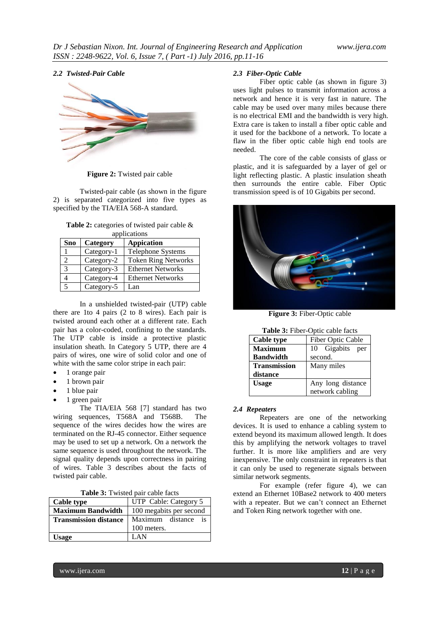#### *2.2 Twisted-Pair Cable*



**Figure 2:** Twisted pair cable

Twisted-pair cable (as shown in the figure 2) is separated categorized into five types as specified by the TIA/EIA 568-A standard.

**Table 2:** categories of twisted pair cable & applications

| Sno | Category   | <b>Appication</b>          |
|-----|------------|----------------------------|
|     | Category-1 | Telephone Systems          |
|     | Category-2 | <b>Token Ring Networks</b> |
|     | Category-3 | <b>Ethernet Networks</b>   |
|     | Category-4 | <b>Ethernet Networks</b>   |
|     | Category-5 | Lan                        |

In a unshielded twisted-pair (UTP) cable there are 1to 4 pairs (2 to 8 wires). Each pair is twisted around each other at a different rate. Each pair has a color-coded, confining to the standards. The UTP cable is inside a protective plastic insulation sheath. In Category 5 UTP, there are 4 pairs of wires, one wire of solid color and one of white with the same color stripe in each pair:

- 1 orange pair
- 1 brown pair
- 1 blue pair
- 1 green pair

The TIA/EIA 568 [7] standard has two wiring sequences, T568A and T568B. The sequence of the wires decides how the wires are terminated on the RJ-45 connector. Either sequence may be used to set up a network. On a network the same sequence is used throughout the network. The signal quality depends upon correctness in pairing of wires. Table 3 describes about the facts of twisted pair cable.

| <b>Table 3:</b> Twisted pair cable facts |  |
|------------------------------------------|--|
|------------------------------------------|--|

| Cable type                   | UTP Cable: Category 5   |  |
|------------------------------|-------------------------|--|
| <b>Maximum Bandwidth</b>     | 100 megabits per second |  |
| <b>Transmission distance</b> | Maximum distance is     |  |
|                              | 100 meters.             |  |
| <b>Usage</b>                 | I AN                    |  |

# *2.3 Fiber-Optic Cable*

Fiber optic cable (as shown in figure 3) uses light pulses to transmit information across a network and hence it is very fast in nature. The cable may be used over many miles because there is no electrical EMI and the bandwidth is very high. Extra care is taken to install a fiber optic cable and it used for the backbone of a network. To locate a flaw in the fiber optic cable high end tools are needed.

The core of the cable consists of glass or plastic, and it is safeguarded by a layer of gel or light reflecting plastic. A plastic insulation sheath then surrounds the entire cable. Fiber Optic transmission speed is of 10 Gigabits per second.



**Figure 3:** Fiber-Optic cable

| Table 3: Fiber-Optic cable facts |                   |  |
|----------------------------------|-------------------|--|
| <b>Cable type</b>                | Fiber Optic Cable |  |
| <b>Maximum</b>                   | 10 Gigabits per   |  |
| <b>Bandwidth</b>                 | second.           |  |
| <b>Transmission</b>              | Many miles        |  |
| distance                         |                   |  |
| <b>Usage</b>                     | Any long distance |  |
|                                  | network cabling   |  |

#### *2.4 Repeaters*

Repeaters are one of the networking devices. It is used to enhance a cabling system to extend beyond its maximum allowed length. It does this by amplifying the network voltages to travel further. It is more like amplifiers and are very inexpensive. The only constraint in repeaters is that it can only be used to regenerate signals between similar network segments.

For example (refer figure 4), we can extend an Ethernet 10Base2 network to 400 meters with a repeater. But we can't connect an Ethernet and Token Ring network together with one.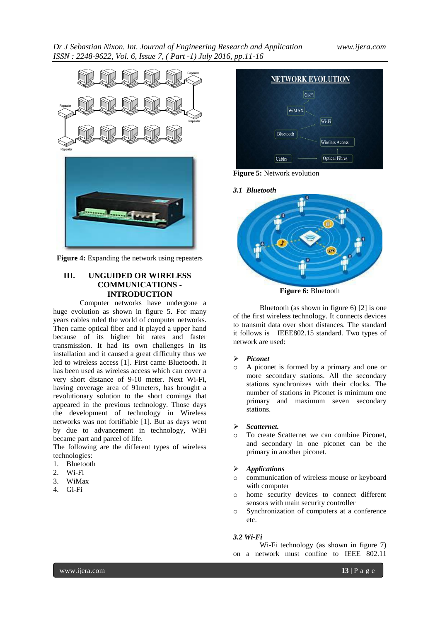

**Figure 4:** Expanding the network using repeaters

# **III. UNGUIDED OR WIRELESS COMMUNICATIONS - INTRODUCTION**

Computer networks have undergone a huge evolution as shown in figure 5. For many years cables ruled the world of computer networks. Then came optical fiber and it played a upper hand because of its higher bit rates and faster transmission. It had its own challenges in its installation and it caused a great difficulty thus we led to wireless access [1]. First came Bluetooth. It has been used as wireless access which can cover a very short distance of 9-10 meter. Next Wi-Fi, having coverage area of 91meters, has brought a revolutionary solution to the short comings that appeared in the previous technology. Those days the development of technology in Wireless networks was not fortifiable [1]. But as days went by due to advancement in technology, WiFi became part and parcel of life.

The following are the different types of wireless technologies:

- 1. Bluetooth
- 2. Wi-Fi
- 3. WiMax
- 4. Gi-Fi



**Figure 5:** Network evolution



**Figure 6:** Bluetooth

Bluetooth (as shown in figure 6) [2] is one of the first wireless technology. It connects devices to transmit data over short distances. The standard it follows is IEEE802.15 standard. Two types of network are used:

# *Piconet*

o A piconet is formed by a primary and one or more secondary stations. All the secondary stations synchronizes with their clocks. The number of stations in Piconet is minimum one primary and maximum seven secondary stations.

# *Scatternet.*

To create Scatternet we can combine Piconet, and secondary in one piconet can be the primary in another piconet.

# *Applications*

- communication of wireless mouse or keyboard with computer
- o home security devices to connect different sensors with main security controller
- o Synchronization of computers at a conference etc.

# *3.2 Wi-Fi*

Wi-Fi technology (as shown in figure 7) on a network must confine to IEEE 802.11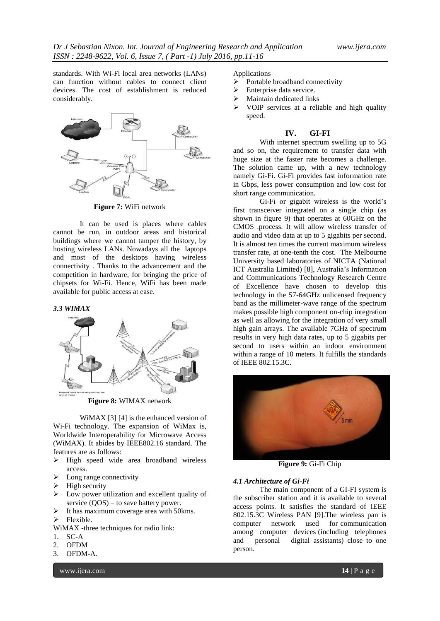standards. With Wi-Fi local area networks (LANs) can function without cables to connect client devices. The cost of establishment is reduced considerably.



**Figure 7:** WiFi network

It can be used is places where cables cannot be run, in outdoor areas and historical buildings where we cannot tamper the history, by hosting wireless LANs. Nowadays all the laptops and most of the desktops having wireless connectivity . Thanks to the advancement and the competition in hardware, for bringing the price of chipsets for Wi-Fi. Hence, WiFi has been made available for public access at ease.

#### *3.3 WIMAX*



**Figure 8:** WIMAX network

WiMAX [3] [4] is the enhanced version of Wi-Fi technology. The expansion of WiMax is, Worldwide Interoperability for Microwave Access (WiMAX). It abides by IEEE802.16 standard. The features are as follows:

- $\triangleright$  High speed wide area broadband wireless access.
- $\triangleright$  Long range connectivity
- $\triangleright$  High security
- $\triangleright$  Low power utilization and excellent quality of service (QOS) – to save battery power.
- $\triangleright$  It has maximum coverage area with 50 kms.
- $\triangleright$  Flexible.
- WiMAX -three techniques for radio link:
- 1. SC-A
- 2. OFDM
- 3. OFDM-A.

www.ijera.com **14** | P a g e

Applications

- $\triangleright$  Portable broadband connectivity
- $\triangleright$  Enterprise data service.
- $\triangleright$  Maintain dedicated links
- VOIP services at a reliable and high quality speed.

#### **IV. GI-FI**

With internet spectrum swelling up to 5G and so on, the requirement to transfer data with huge size at the faster rate becomes a challenge. The solution came up, with a new technology namely Gi-Fi. Gi-Fi provides fast information rate in Gbps, less power consumption and low cost for short range communication.

Gi-Fi or gigabit wireless is the world's first transceiver integrated on a single chip (as shown in figure 9) that operates at 60GHz on the CMOS .process. It will allow wireless transfer of audio and video data at up to 5 gigabits per second. It is almost ten times the current maximum wireless transfer rate, at one-tenth the cost. The [Melbourne](http://en.wikipedia.org/wiki/Melbourne_University)  [University](http://en.wikipedia.org/wiki/Melbourne_University) based laboratories of NICTA (National ICT Australia Limited) [8], Australia's Information and Communications Technology Research Centre of Excellence have chosen to develop this technology in the 57-64GHz unlicensed frequency band as the millimeter-wave range of the spectrum makes possible high component on-chip integration as well as allowing for the integration of very small high gain arrays. The available 7GHz of spectrum results in very high data rates, up to 5 gigabits per second to users within an indoor environment within a range of 10 meters. It fulfills the standards of IEEE 802.15.3C.



**Figure 9:** Gi-Fi Chip

#### *4.1 Architecture of Gi-Fi*

The main component of a GI-FI system is the subscriber station and it is available to several access points. It satisfies the standard of IEEE 802.15.3C Wireless PAN [9].The wireless pan is computer network used for communication among computer devices (including telephones and personal digital assistants) close to one person.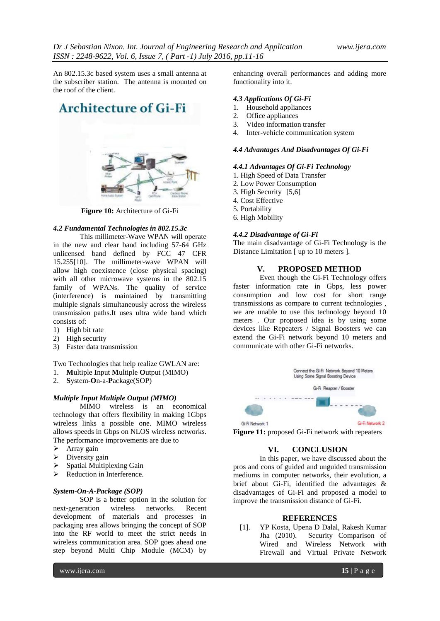An 802.15.3c based system uses a small antenna at the subscriber station. The antenna is mounted on the roof of the client.

# **Architecture of Gi-Fi**



**Figure 10:** Architecture of Gi-Fi

#### *4.2 Fundamental Technologies in 802.15.3c*

This millimeter-Wave WPAN will operate in the new and clear band including 57-64 GHz unlicensed band defined by FCC 47 CFR 15.255[10]. The millimeter-wave WPAN will allow high coexistence (close physical spacing) with all other microwave systems in the 802.15 family of WPANs. The quality of service (interference) is maintained by transmitting multiple signals simultaneously across the wireless transmission paths.It uses ultra wide band which consists of:

- 1) High bit rate
- 2) High security
- 3) Faster data transmission

Two Technologies that help realize GWLAN are:

- 1. **M**ultiple **I**nput **M**ultiple **O**utput (MIMO)
- 2. **S**ystem-**O**n-a-**P**ackage(SOP)

#### *Multiple Input Multiple Output (MIMO)*

MIMO wireless is an economical technology that offers flexibility in making 1Gbps wireless links a possible one. MIMO wireless allows speeds in Gbps on NLOS wireless networks. The performance improvements are due to

- $\triangleright$  Array gain
- $\triangleright$  Diversity gain
- Spatial Multiplexing Gain
- $\triangleright$  Reduction in Interference.

#### *System-On-A-Package (SOP)*

SOP is a better option in the solution for next-generation wireless networks. Recent development of materials and processes in packaging area allows bringing the concept of SOP into the RF world to meet the strict needs in wireless communication area. SOP goes ahead one step beyond Multi Chip Module (MCM) by

enhancing overall performances and adding more functionality into it.

#### *4.3 Applications Of Gi-Fi*

- 1. Household appliances
- 2. Office appliances
- 3. Video information transfer
- 4. Inter-vehicle communication system

#### *4.4 Advantages And Disadvantages Of Gi-Fi*

#### *4.4.1 Advantages Of Gi-Fi Technology*

- 1. High Speed of Data Transfer
- 2. Low Power Consumption
- 3. High Security [5,6]
- 4. Cost Effective
- 5. Portability
- 6. High Mobility

#### *4.4.2 Disadvantage of Gi-Fi*

The main disadvantage of Gi-Fi Technology is the Distance Limitation [ up to 10 meters ].

#### **V. PROPOSED METHOD**

Even though **t**he Gi-Fi Technology offers faster information rate in Gbps, less power consumption and low cost for short range transmissions as compare to current technologies , we are unable to use this technology beyond 10 meters . Our proposed idea is by using some devices like Repeaters / Signal Boosters we can extend the Gi-Fi network beyond 10 meters and communicate with other Gi-Fi networks.



**Figure 11:** proposed Gi-Fi network with repeaters

# **VI. CONCLUSION**

In this paper, we have discussed about the pros and cons of guided and unguided transmission mediums in computer networks, their evolution, a brief about Gi-Fi, identified the advantages & disadvantages of Gi-Fi and proposed a model to improve the transmission distance of Gi-Fi.

#### **REFERENCES**

[1]. YP Kosta, Upena D Dalal, Rakesh Kumar Jha (2010). Security Comparison of Wired and Wireless Network with Firewall and Virtual Private Network